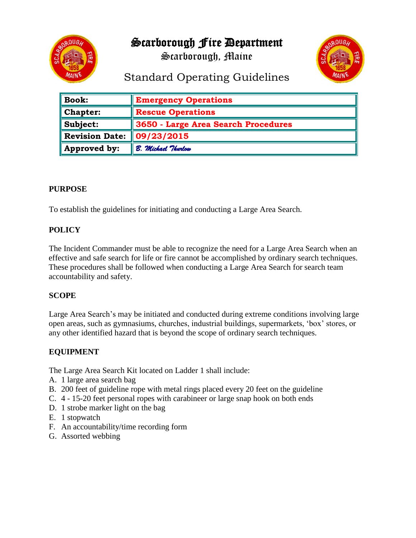

Scarborough Fire Department

Scarborough, Maine



# Standard Operating Guidelines

| <b>Book:</b>          | <b>Emergency Operations</b>         |
|-----------------------|-------------------------------------|
| <b>Chapter:</b>       | <b>Rescue Operations</b>            |
| Subject:              | 3650 - Large Area Search Procedures |
| <b>Revision Date:</b> | 09/23/2015                          |
| Approved by:          | B. Michael Thurlow                  |

#### **PURPOSE**

To establish the guidelines for initiating and conducting a Large Area Search.

## **POLICY**

The Incident Commander must be able to recognize the need for a Large Area Search when an effective and safe search for life or fire cannot be accomplished by ordinary search techniques. These procedures shall be followed when conducting a Large Area Search for search team accountability and safety.

## **SCOPE**

Large Area Search's may be initiated and conducted during extreme conditions involving large open areas, such as gymnasiums, churches, industrial buildings, supermarkets, 'box' stores, or any other identified hazard that is beyond the scope of ordinary search techniques.

## **EQUIPMENT**

The Large Area Search Kit located on Ladder 1 shall include:

- A. 1 large area search bag
- B. 200 feet of guideline rope with metal rings placed every 20 feet on the guideline
- C. 4 15-20 feet personal ropes with carabineer or large snap hook on both ends
- D. 1 strobe marker light on the bag
- E. 1 stopwatch
- F. An accountability/time recording form
- G. Assorted webbing